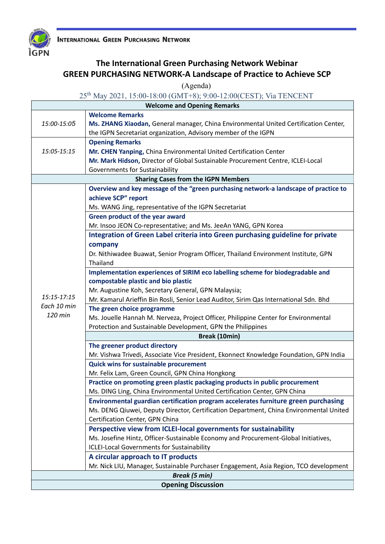



## **The International Green Purchasing Network Webinar GREEN PURCHASING NETWORK-A Landscape of Practice to Achieve SCP**

(Agenda)

## 25th May 2021, 15:00-18:00 (GMT+8); 9:00-12:00(CEST); Via TENCENT

| <b>Welcome and Opening Remarks</b>                                                   |                                                                                        |  |
|--------------------------------------------------------------------------------------|----------------------------------------------------------------------------------------|--|
|                                                                                      | <b>Welcome Remarks</b>                                                                 |  |
| 15:00-15:05                                                                          | Ms. ZHANG Xiaodan, General manager, China Environmental United Certification Center,   |  |
|                                                                                      | the IGPN Secretariat organization, Advisory member of the IGPN                         |  |
|                                                                                      | <b>Opening Remarks</b>                                                                 |  |
| 15:05-15:15                                                                          | Mr. CHEN Yanping, China Environmental United Certification Center                      |  |
|                                                                                      | Mr. Mark Hidson, Director of Global Sustainable Procurement Centre, ICLEI-Local        |  |
|                                                                                      | Governments for Sustainability                                                         |  |
| <b>Sharing Cases from the IGPN Members</b>                                           |                                                                                        |  |
| Overview and key message of the "green purchasing network-a landscape of practice to |                                                                                        |  |
| 15:15-17:15<br>Each 10 min<br>120 min                                                | achieve SCP" report                                                                    |  |
|                                                                                      | Ms. WANG Jing, representative of the IGPN Secretariat                                  |  |
|                                                                                      | Green product of the year award                                                        |  |
|                                                                                      | Mr. Insoo JEON Co-representative; and Ms. JeeAn YANG, GPN Korea                        |  |
|                                                                                      | Integration of Green Label criteria into Green purchasing guideline for private        |  |
|                                                                                      | company                                                                                |  |
|                                                                                      | Dr. Nithiwadee Buawat, Senior Program Officer, Thailand Environment Institute, GPN     |  |
|                                                                                      | Thailand                                                                               |  |
|                                                                                      | Implementation experiences of SIRIM eco labelling scheme for biodegradable and         |  |
|                                                                                      | compostable plastic and bio plastic                                                    |  |
|                                                                                      | Mr. Augustine Koh, Secretary General, GPN Malaysia;                                    |  |
|                                                                                      | Mr. Kamarul Arieffin Bin Rosli, Senior Lead Auditor, Sirim Qas International Sdn. Bhd  |  |
|                                                                                      | The green choice programme                                                             |  |
|                                                                                      | Ms. Jouelle Hannah M. Nerveza, Project Officer, Philippine Center for Environmental    |  |
|                                                                                      | Protection and Sustainable Development, GPN the Philippines                            |  |
|                                                                                      | Break (10min)                                                                          |  |
|                                                                                      | The greener product directory                                                          |  |
|                                                                                      | Mr. Vishwa Trivedi, Associate Vice President, Ekonnect Knowledge Foundation, GPN India |  |
|                                                                                      | <b>Quick wins for sustainable procurement</b>                                          |  |
|                                                                                      | Mr. Felix Lam, Green Council, GPN China Hongkong                                       |  |
|                                                                                      | Practice on promoting green plastic packaging products in public procurement           |  |
|                                                                                      | Ms. DING Ling, China Environmental United Certification Center, GPN China              |  |
|                                                                                      | Environmental guardian certification program accelerates furniture green purchasing    |  |
|                                                                                      | Ms. DENG Qiuwei, Deputy Director, Certification Department, China Environmental United |  |
|                                                                                      | Certification Center, GPN China                                                        |  |
|                                                                                      | Perspective view from ICLEI-local governments for sustainability                       |  |
|                                                                                      | Ms. Josefine Hintz, Officer-Sustainable Economy and Procurement-Global Initiatives,    |  |
|                                                                                      | <b>ICLEI-Local Governments for Sustainability</b>                                      |  |
|                                                                                      | A circular approach to IT products                                                     |  |
|                                                                                      | Mr. Nick LIU, Manager, Sustainable Purchaser Engagement, Asia Region, TCO development  |  |
| <b>Break (5 min)</b>                                                                 |                                                                                        |  |
| <b>Opening Discussion</b>                                                            |                                                                                        |  |